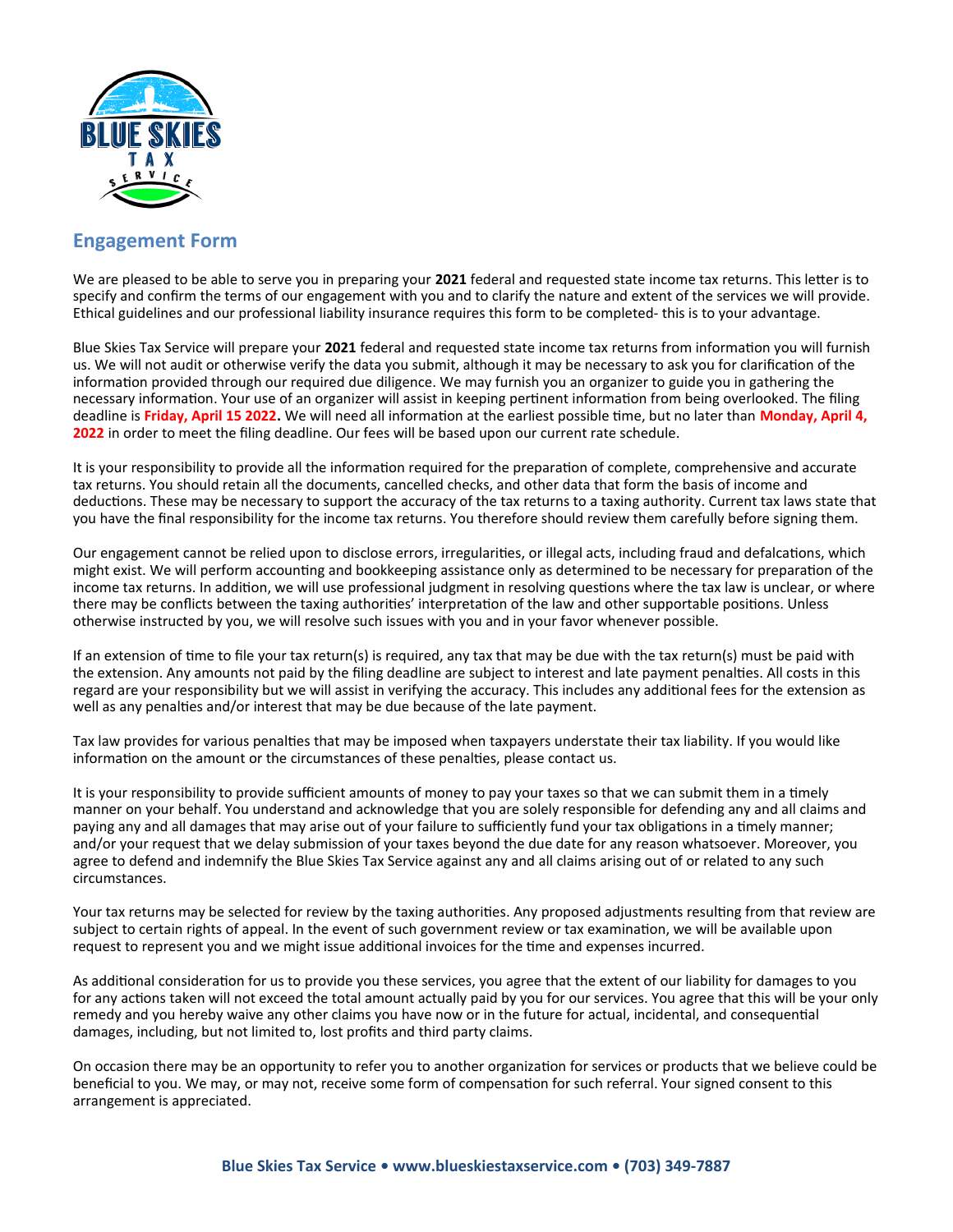

## **Engagement Form**

We are pleased to be able to serve you in preparing your **2021** federal and requested state income tax returns. This letter is to specify and confirm the terms of our engagement with you and to clarify the nature and extent of the services we will provide. Ethical guidelines and our professional liability insurance requires this form to be completed- this is to your advantage.

Blue Skies Tax Service will prepare your **2021** federal and requested state income tax returns from information you will furnish us. We will not audit or otherwise verify the data you submit, although it may be necessary to ask you for clarification of the information provided through our required due diligence. We may furnish you an organizer to guide you in gathering the necessary information. Your use of an organizer will assist in keeping pertinent information from being overlooked. The filing deadline is **Friday, April 15 2022.** We will need all information at the earliest possible time, but no later than **Monday, April 4, 2022** in order to meet the filing deadline. Our fees will be based upon our current rate schedule.

It is your responsibility to provide all the information required for the preparation of complete, comprehensive and accurate tax returns. You should retain all the documents, cancelled checks, and other data that form the basis of income and deductions. These may be necessary to support the accuracy of the tax returns to a taxing authority. Current tax laws state that you have the final responsibility for the income tax returns. You therefore should review them carefully before signing them.

Our engagement cannot be relied upon to disclose errors, irregularities, or illegal acts, including fraud and defalcations, which might exist. We will perform accounting and bookkeeping assistance only as determined to be necessary for preparation of the income tax returns. In addition, we will use professional judgment in resolving questions where the tax law is unclear, or where there may be conflicts between the taxing authorities' interpretation of the law and other supportable positions. Unless otherwise instructed by you, we will resolve such issues with you and in your favor whenever possible.

If an extension of time to file your tax return(s) is required, any tax that may be due with the tax return(s) must be paid with the extension. Any amounts not paid by the filing deadline are subject to interest and late payment penalties. All costs in this regard are your responsibility but we will assist in verifying the accuracy. This includes any additional fees for the extension as well as any penalties and/or interest that may be due because of the late payment.

Tax law provides for various penalties that may be imposed when taxpayers understate their tax liability. If you would like information on the amount or the circumstances of these penalties, please contact us.

It is your responsibility to provide sufficient amounts of money to pay your taxes so that we can submit them in a timely manner on your behalf. You understand and acknowledge that you are solely responsible for defending any and all claims and paying any and all damages that may arise out of your failure to sufficiently fund your tax obligations in a timely manner; and/or your request that we delay submission of your taxes beyond the due date for any reason whatsoever. Moreover, you agree to defend and indemnify the Blue Skies Tax Service against any and all claims arising out of or related to any such circumstances.

Your tax returns may be selected for review by the taxing authorities. Any proposed adjustments resulting from that review are subject to certain rights of appeal. In the event of such government review or tax examination, we will be available upon request to represent you and we might issue additional invoices for the time and expenses incurred.

As additional consideration for us to provide you these services, you agree that the extent of our liability for damages to you for any actions taken will not exceed the total amount actually paid by you for our services. You agree that this will be your only remedy and you hereby waive any other claims you have now or in the future for actual, incidental, and consequential damages, including, but not limited to, lost profits and third party claims.

On occasion there may be an opportunity to refer you to another organization for services or products that we believe could be beneficial to you. We may, or may not, receive some form of compensation for such referral. Your signed consent to this arrangement is appreciated.